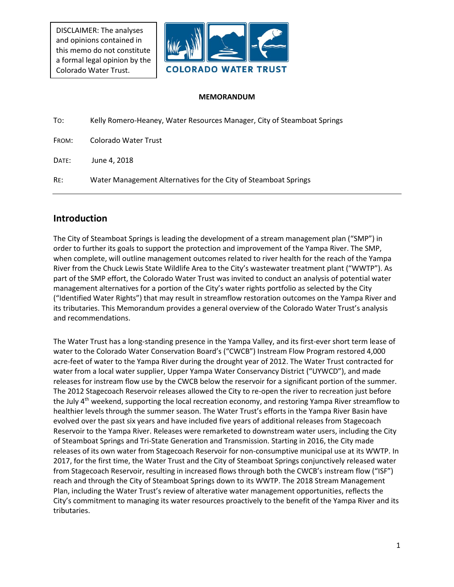DISCLAIMER: The analyses and opinions contained in this memo do not constitute a formal legal opinion by the Colorado Water Trust.



#### **MEMORANDUM**

| To:   | Kelly Romero-Heaney, Water Resources Manager, City of Steamboat Springs |
|-------|-------------------------------------------------------------------------|
| FROM: | Colorado Water Trust                                                    |
| DATE: | June 4, 2018                                                            |
| RE:   | Water Management Alternatives for the City of Steamboat Springs         |

# **Introduction**

The City of Steamboat Springs is leading the development of a stream management plan ("SMP") in order to further its goals to support the protection and improvement of the Yampa River. The SMP, when complete, will outline management outcomes related to river health for the reach of the Yampa River from the Chuck Lewis State Wildlife Area to the City's wastewater treatment plant ("WWTP"). As part of the SMP effort, the Colorado Water Trust was invited to conduct an analysis of potential water management alternatives for a portion of the City's water rights portfolio as selected by the City ("Identified Water Rights") that may result in streamflow restoration outcomes on the Yampa River and its tributaries. This Memorandum provides a general overview of the Colorado Water Trust's analysis and recommendations.

The Water Trust has a long-standing presence in the Yampa Valley, and its first-ever short term lease of water to the Colorado Water Conservation Board's ("CWCB") Instream Flow Program restored 4,000 acre-feet of water to the Yampa River during the drought year of 2012. The Water Trust contracted for water from a local water supplier, Upper Yampa Water Conservancy District ("UYWCD"), and made releases for instream flow use by the CWCB below the reservoir for a significant portion of the summer. The 2012 Stagecoach Reservoir releases allowed the City to re-open the river to recreation just before the July 4<sup>th</sup> weekend, supporting the local recreation economy, and restoring Yampa River streamflow to healthier levels through the summer season. The Water Trust's efforts in the Yampa River Basin have evolved over the past six years and have included five years of additional releases from Stagecoach Reservoir to the Yampa River. Releases were remarketed to downstream water users, including the City of Steamboat Springs and Tri-State Generation and Transmission. Starting in 2016, the City made releases of its own water from Stagecoach Reservoir for non-consumptive municipal use at its WWTP. In 2017, for the first time, the Water Trust and the City of Steamboat Springs conjunctively released water from Stagecoach Reservoir, resulting in increased flows through both the CWCB's instream flow ("ISF") reach and through the City of Steamboat Springs down to its WWTP. The 2018 Stream Management Plan, including the Water Trust's review of alterative water management opportunities, reflects the City's commitment to managing its water resources proactively to the benefit of the Yampa River and its tributaries.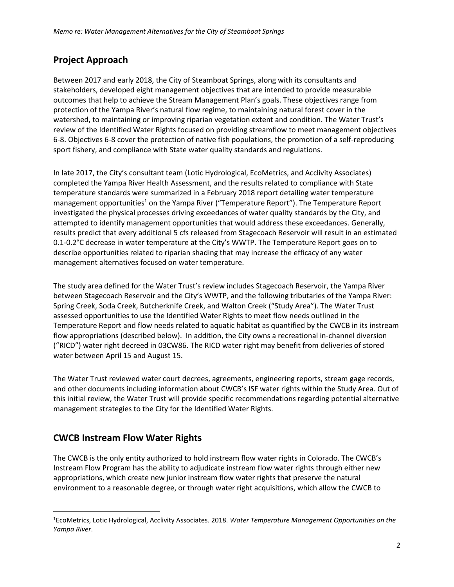# **Project Approach**

Between 2017 and early 2018, the City of Steamboat Springs, along with its consultants and stakeholders, developed eight management objectives that are intended to provide measurable outcomes that help to achieve the Stream Management Plan's goals. These objectives range from protection of the Yampa River's natural flow regime, to maintaining natural forest cover in the watershed, to maintaining or improving riparian vegetation extent and condition. The Water Trust's review of the Identified Water Rights focused on providing streamflow to meet management objectives 6-8. Objectives 6-8 cover the protection of native fish populations, the promotion of a self-reproducing sport fishery, and compliance with State water quality standards and regulations.

In late 2017, the City's consultant team (Lotic Hydrological, EcoMetrics, and Acclivity Associates) completed the Yampa River Health Assessment, and the results related to compliance with State temperature standards were summarized in a February 2018 report detailing water temperature management opportunities<sup>1</sup> on the Yampa River ("Temperature Report"). The Temperature Report investigated the physical processes driving exceedances of water quality standards by the City, and attempted to identify management opportunities that would address these exceedances. Generally, results predict that every additional 5 cfs released from Stagecoach Reservoir will result in an estimated 0.1-0.2°C decrease in water temperature at the City's WWTP. The Temperature Report goes on to describe opportunities related to riparian shading that may increase the efficacy of any water management alternatives focused on water temperature.

The study area defined for the Water Trust's review includes Stagecoach Reservoir, the Yampa River between Stagecoach Reservoir and the City's WWTP, and the following tributaries of the Yampa River: Spring Creek, Soda Creek, Butcherknife Creek, and Walton Creek ("Study Area"). The Water Trust assessed opportunities to use the Identified Water Rights to meet flow needs outlined in the Temperature Report and flow needs related to aquatic habitat as quantified by the CWCB in its instream flow appropriations (described below). In addition, the City owns a recreational in-channel diversion ("RICD") water right decreed in 03CW86. The RICD water right may benefit from deliveries of stored water between April 15 and August 15.

The Water Trust reviewed water court decrees, agreements, engineering reports, stream gage records, and other documents including information about CWCB's ISF water rights within the Study Area. Out of this initial review, the Water Trust will provide specific recommendations regarding potential alternative management strategies to the City for the Identified Water Rights.

# **CWCB Instream Flow Water Rights**

 $\overline{\phantom{a}}$ 

The CWCB is the only entity authorized to hold instream flow water rights in Colorado. The CWCB's Instream Flow Program has the ability to adjudicate instream flow water rights through either new appropriations, which create new junior instream flow water rights that preserve the natural environment to a reasonable degree, or through water right acquisitions, which allow the CWCB to

<sup>1</sup>EcoMetrics, Lotic Hydrological, Acclivity Associates. 2018. *Water Temperature Management Opportunities on the Yampa River*.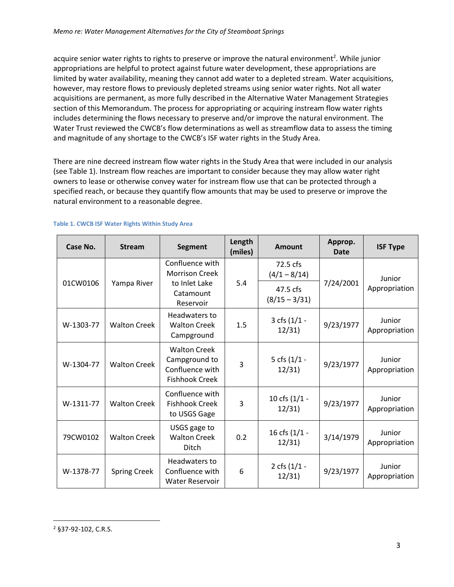acquire senior water rights to rights to preserve or improve the natural environment<sup>2</sup>. While junior appropriations are helpful to protect against future water development, these appropriations are limited by water availability, meaning they cannot add water to a depleted stream. Water acquisitions, however, may restore flows to previously depleted streams using senior water rights. Not all water acquisitions are permanent, as more fully described in the Alternative Water Management Strategies section of this Memorandum. The process for appropriating or acquiring instream flow water rights includes determining the flows necessary to preserve and/or improve the natural environment. The Water Trust reviewed the CWCB's flow determinations as well as streamflow data to assess the timing and magnitude of any shortage to the CWCB's ISF water rights in the Study Area.

There are nine decreed instream flow water rights in the Study Area that were included in our analysis (see Table 1). Instream flow reaches are important to consider because they may allow water right owners to lease or otherwise convey water for instream flow use that can be protected through a specified reach, or because they quantify flow amounts that may be used to preserve or improve the natural environment to a reasonable degree.

| Case No.  | <b>Stream</b>       | <b>Segment</b>                                                                      | Length<br>(miles) | <b>Amount</b>                                             | Approp.<br>Date | <b>ISF Type</b>         |
|-----------|---------------------|-------------------------------------------------------------------------------------|-------------------|-----------------------------------------------------------|-----------------|-------------------------|
| 01CW0106  | Yampa River         | Confluence with<br><b>Morrison Creek</b><br>to Inlet Lake<br>Catamount<br>Reservoir | 5.4               | 72.5 cfs<br>$(4/1 - 8/14)$<br>47.5 cfs<br>$(8/15 - 3/31)$ | 7/24/2001       | Junior<br>Appropriation |
| W-1303-77 | <b>Walton Creek</b> | Headwaters to<br><b>Walton Creek</b><br>Campground                                  | 1.5               | 3 cfs (1/1 -<br>12/31                                     | 9/23/1977       | Junior<br>Appropriation |
| W-1304-77 | <b>Walton Creek</b> | <b>Walton Creek</b><br>Campground to<br>Confluence with<br><b>Fishhook Creek</b>    | 3                 | 5 cfs (1/1 -<br>12/31                                     | 9/23/1977       | Junior<br>Appropriation |
| W-1311-77 | <b>Walton Creek</b> | Confluence with<br><b>Fishhook Creek</b><br>to USGS Gage                            | 3                 | 10 cfs (1/1 -<br>12/31                                    | 9/23/1977       | Junior<br>Appropriation |
| 79CW0102  | <b>Walton Creek</b> | USGS gage to<br><b>Walton Creek</b><br><b>Ditch</b>                                 | 0.2               | 16 cfs (1/1 -<br>12/31                                    | 3/14/1979       | Junior<br>Appropriation |
| W-1378-77 | <b>Spring Creek</b> | Headwaters to<br>Confluence with<br><b>Water Reservoir</b>                          | 6                 | 2 cfs (1/1 -<br>12/31                                     | 9/23/1977       | Junior<br>Appropriation |

#### **Table 1. CWCB ISF Water Rights Within Study Area**

 $\overline{a}$ 

<sup>2</sup> §37-92-102, C.R.S.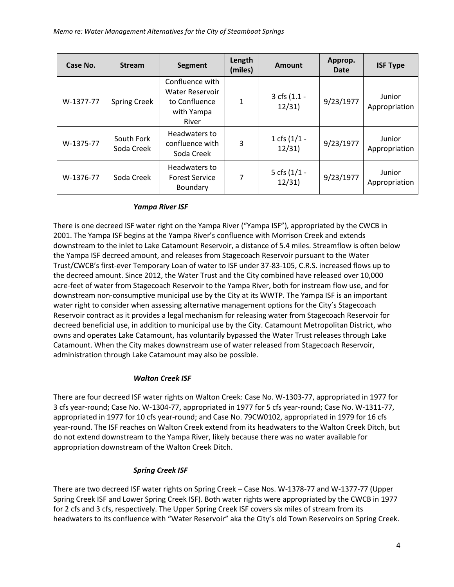| Case No.  | <b>Stream</b>            | <b>Segment</b>                                                                    | Length<br>(miles) | <b>Amount</b>           | Approp.<br>Date | <b>ISF Type</b>         |
|-----------|--------------------------|-----------------------------------------------------------------------------------|-------------------|-------------------------|-----------------|-------------------------|
| W-1377-77 | <b>Spring Creek</b>      | Confluence with<br><b>Water Reservoir</b><br>to Confluence<br>with Yampa<br>River | 1                 | 3 cfs (1.1 -<br>12/31   | 9/23/1977       | Junior<br>Appropriation |
| W-1375-77 | South Fork<br>Soda Creek | Headwaters to<br>confluence with<br>Soda Creek                                    | 3                 | 1 cfs $(1/1 -$<br>12/31 | 9/23/1977       | Junior<br>Appropriation |
| W-1376-77 | Soda Creek               | Headwaters to<br><b>Forest Service</b><br>Boundary                                | 7                 | 5 cfs $(1/1 -$<br>12/31 | 9/23/1977       | Junior<br>Appropriation |

#### *Yampa River ISF*

There is one decreed ISF water right on the Yampa River ("Yampa ISF"), appropriated by the CWCB in 2001. The Yampa ISF begins at the Yampa River's confluence with Morrison Creek and extends downstream to the inlet to Lake Catamount Reservoir, a distance of 5.4 miles. Streamflow is often below the Yampa ISF decreed amount, and releases from Stagecoach Reservoir pursuant to the Water Trust/CWCB's first-ever Temporary Loan of water to ISF under 37-83-105, C.R.S. increased flows up to the decreed amount. Since 2012, the Water Trust and the City combined have released over 10,000 acre-feet of water from Stagecoach Reservoir to the Yampa River, both for instream flow use, and for downstream non-consumptive municipal use by the City at its WWTP. The Yampa ISF is an important water right to consider when assessing alternative management options for the City's Stagecoach Reservoir contract as it provides a legal mechanism for releasing water from Stagecoach Reservoir for decreed beneficial use, in addition to municipal use by the City. Catamount Metropolitan District, who owns and operates Lake Catamount, has voluntarily bypassed the Water Trust releases through Lake Catamount. When the City makes downstream use of water released from Stagecoach Reservoir, administration through Lake Catamount may also be possible.

### *Walton Creek ISF*

There are four decreed ISF water rights on Walton Creek: Case No. W-1303-77, appropriated in 1977 for 3 cfs year-round; Case No. W-1304-77, appropriated in 1977 for 5 cfs year-round; Case No. W-1311-77, appropriated in 1977 for 10 cfs year-round; and Case No. 79CW0102, appropriated in 1979 for 16 cfs year-round. The ISF reaches on Walton Creek extend from its headwaters to the Walton Creek Ditch, but do not extend downstream to the Yampa River, likely because there was no water available for appropriation downstream of the Walton Creek Ditch.

### *Spring Creek ISF*

There are two decreed ISF water rights on Spring Creek – Case Nos. W-1378-77 and W-1377-77 (Upper Spring Creek ISF and Lower Spring Creek ISF). Both water rights were appropriated by the CWCB in 1977 for 2 cfs and 3 cfs, respectively. The Upper Spring Creek ISF covers six miles of stream from its headwaters to its confluence with "Water Reservoir" aka the City's old Town Reservoirs on Spring Creek.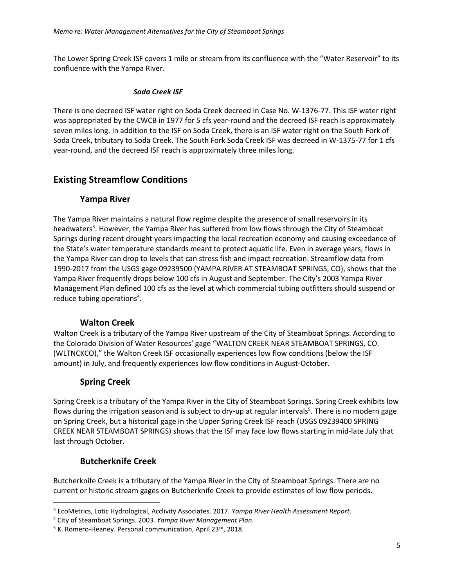The Lower Spring Creek ISF covers 1 mile or stream from its confluence with the "Water Reservoir" to its confluence with the Yampa River.

#### *Soda Creek ISF*

There is one decreed ISF water right on Soda Creek decreed in Case No. W-1376-77. This ISF water right was appropriated by the CWCB in 1977 for 5 cfs year-round and the decreed ISF reach is approximately seven miles long. In addition to the ISF on Soda Creek, there is an ISF water right on the South Fork of Soda Creek, tributary to Soda Creek. The South Fork Soda Creek ISF was decreed in W-1375-77 for 1 cfs year-round, and the decreed ISF reach is approximately three miles long.

# **Existing Streamflow Conditions**

### **Yampa River**

The Yampa River maintains a natural flow regime despite the presence of small reservoirs in its headwaters<sup>3</sup>. However, the Yampa River has suffered from low flows through the City of Steamboat Springs during recent drought years impacting the local recreation economy and causing exceedance of the State's water temperature standards meant to protect aquatic life. Even in average years, flows in the Yampa River can drop to levels that can stress fish and impact recreation. Streamflow data from 1990-2017 from the USGS gage 09239500 (YAMPA RIVER AT STEAMBOAT SPRINGS, CO), shows that the Yampa River frequently drops below 100 cfs in August and September. The City's 2003 Yampa River Management Plan defined 100 cfs as the level at which commercial tubing outfitters should suspend or reduce tubing operations<sup>4</sup>.

# **Walton Creek**

Walton Creek is a tributary of the Yampa River upstream of the City of Steamboat Springs. According to the Colorado Division of Water Resources' gage "WALTON CREEK NEAR STEAMBOAT SPRINGS, CO. (WLTNCKCO)," the Walton Creek ISF occasionally experiences low flow conditions (below the ISF amount) in July, and frequently experiences low flow conditions in August-October.

# **Spring Creek**

Spring Creek is a tributary of the Yampa River in the City of Steamboat Springs. Spring Creek exhibits low flows during the irrigation season and is subject to dry-up at regular intervals<sup>5</sup>. There is no modern gage on Spring Creek, but a historical gage in the Upper Spring Creek ISF reach (USGS 09239400 SPRING CREEK NEAR STEAMBOAT SPRINGS) shows that the ISF may face low flows starting in mid-late July that last through October.

# **Butcherknife Creek**

 $\overline{a}$ 

Butcherknife Creek is a tributary of the Yampa River in the City of Steamboat Springs. There are no current or historic stream gages on Butcherknife Creek to provide estimates of low flow periods.

<sup>3</sup> EcoMetrics, Lotic Hydrological, Acclivity Associates. 2017. *Yampa River Health Assessment Report*.

<sup>4</sup> City of Steamboat Springs. 2003. *Yampa River Management Plan*.

<sup>&</sup>lt;sup>5</sup> K. Romero-Heaney. Personal communication, April 23rd, 2018.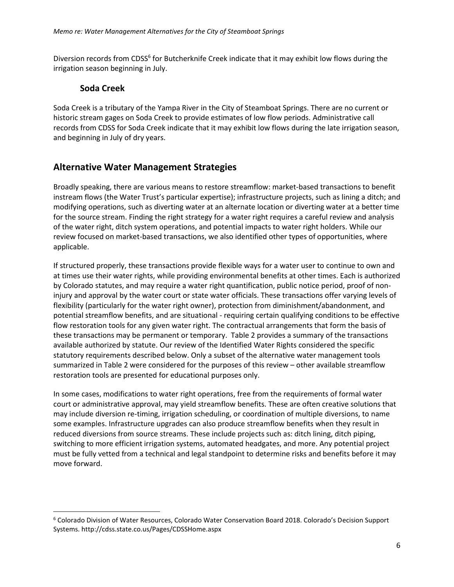Diversion records from CDSS<sup>6</sup> for Butcherknife Creek indicate that it may exhibit low flows during the irrigation season beginning in July.

# **Soda Creek**

 $\overline{\phantom{a}}$ 

Soda Creek is a tributary of the Yampa River in the City of Steamboat Springs. There are no current or historic stream gages on Soda Creek to provide estimates of low flow periods. Administrative call records from CDSS for Soda Creek indicate that it may exhibit low flows during the late irrigation season, and beginning in July of dry years.

# **Alternative Water Management Strategies**

Broadly speaking, there are various means to restore streamflow: market-based transactions to benefit instream flows (the Water Trust's particular expertise); infrastructure projects, such as lining a ditch; and modifying operations, such as diverting water at an alternate location or diverting water at a better time for the source stream. Finding the right strategy for a water right requires a careful review and analysis of the water right, ditch system operations, and potential impacts to water right holders. While our review focused on market-based transactions, we also identified other types of opportunities, where applicable.

If structured properly, these transactions provide flexible ways for a water user to continue to own and at times use their water rights, while providing environmental benefits at other times. Each is authorized by Colorado statutes, and may require a water right quantification, public notice period, proof of noninjury and approval by the water court or state water officials. These transactions offer varying levels of flexibility (particularly for the water right owner), protection from diminishment/abandonment, and potential streamflow benefits, and are situational - requiring certain qualifying conditions to be effective flow restoration tools for any given water right. The contractual arrangements that form the basis of these transactions may be permanent or temporary. Table 2 provides a summary of the transactions available authorized by statute. Our review of the Identified Water Rights considered the specific statutory requirements described below. Only a subset of the alternative water management tools summarized in Table 2 were considered for the purposes of this review – other available streamflow restoration tools are presented for educational purposes only.

In some cases, modifications to water right operations, free from the requirements of formal water court or administrative approval, may yield streamflow benefits. These are often creative solutions that may include diversion re-timing, irrigation scheduling, or coordination of multiple diversions, to name some examples. Infrastructure upgrades can also produce streamflow benefits when they result in reduced diversions from source streams. These include projects such as: ditch lining, ditch piping, switching to more efficient irrigation systems, automated headgates, and more. Any potential project must be fully vetted from a technical and legal standpoint to determine risks and benefits before it may move forward.

<sup>6</sup> Colorado Division of Water Resources, Colorado Water Conservation Board 2018. Colorado's Decision Support Systems. http://cdss.state.co.us/Pages/CDSSHome.aspx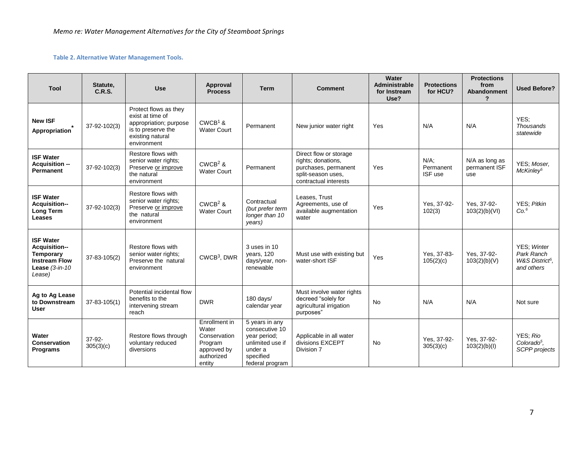#### **Table 2. Alternative Water Management Tools.**

| Tool                                                                                                         | Statute.<br>C.R.S.  | <b>Use</b>                                                                                                                   | Approval<br><b>Process</b>                                                               | <b>Term</b>                                                                                                     | <b>Comment</b>                                                                                                      | Water<br><b>Administrable</b><br>for Instream<br>Use? | <b>Protections</b><br>for HCU?  | <b>Protections</b><br>from<br><b>Abandonment</b> | <b>Used Before?</b>                                                    |
|--------------------------------------------------------------------------------------------------------------|---------------------|------------------------------------------------------------------------------------------------------------------------------|------------------------------------------------------------------------------------------|-----------------------------------------------------------------------------------------------------------------|---------------------------------------------------------------------------------------------------------------------|-------------------------------------------------------|---------------------------------|--------------------------------------------------|------------------------------------------------------------------------|
| <b>New ISF</b><br>Appropriation                                                                              | 37-92-102(3)        | Protect flows as they<br>exist at time of<br>appropriation; purpose<br>is to preserve the<br>existing natural<br>environment | $CWCB1$ &<br><b>Water Court</b>                                                          | Permanent                                                                                                       | New junior water right                                                                                              | Yes                                                   | N/A                             | N/A                                              | YES:<br><b>Thousands</b><br>statewide                                  |
| <b>ISF Water</b><br>Acquisition --<br><b>Permanent</b>                                                       | 37-92-102(3)        | Restore flows with<br>senior water rights;<br>Preserve or improve<br>the natural<br>environment                              | $CWCB2$ &<br><b>Water Court</b>                                                          | Permanent                                                                                                       | Direct flow or storage<br>rights; donations,<br>purchases, permanent<br>split-season uses,<br>contractual interests | Yes                                                   | $N/A$ .<br>Permanent<br>ISF use | N/A as long as<br>permanent ISF<br>use           | YES; Moser,<br>McKinley <sup>5</sup>                                   |
| <b>ISF Water</b><br>Acquisition--<br><b>Long Term</b><br><b>Leases</b>                                       | 37-92-102(3)        | Restore flows with<br>senior water rights;<br>Preserve or improve<br>the natural<br>environment                              | $CWCB2$ &<br><b>Water Court</b>                                                          | Contractual<br>(but prefer term<br>longer than 10<br>years)                                                     | Leases, Trust<br>Agreements, use of<br>available augmentation<br>water                                              | Yes                                                   | Yes, 37-92-<br>102(3)           | Yes, 37-92-<br>103(2)(b)(V)                      | YES; Pitkin<br>Co. <sup>6</sup>                                        |
| <b>ISF Water</b><br>Acquisition--<br><b>Temporary</b><br><b>Instream Flow</b><br>Lease $(3-in-10)$<br>Lease) | 37-83-105(2)        | Restore flows with<br>senior water rights;<br>Preserve the natural<br>environment                                            | CWCB <sup>3</sup> , DWR                                                                  | 3 uses in 10<br>years, 120<br>days/year, non-<br>renewable                                                      | Must use with existing but<br>water-short ISF                                                                       | Yes                                                   | Yes, 37-83-<br>105(2)(c)        | Yes, 37-92-<br>103(2)(b)(V)                      | YES; Winter<br>Park Ranch<br>W&S District <sup>5</sup> .<br>and others |
| Ag to Ag Lease<br>to Downstream<br><b>User</b>                                                               | $37 - 83 - 105(1)$  | Potential incidental flow<br>benefits to the<br>intervening stream<br>reach                                                  | <b>DWR</b>                                                                               | 180 days/<br>calendar year                                                                                      | Must involve water rights<br>decreed "solely for<br>agricultural irrigation<br>purposes"                            | <b>No</b>                                             | N/A                             | N/A                                              | Not sure                                                               |
| Water<br><b>Conservation</b><br>Programs                                                                     | 37-92-<br>305(3)(c) | Restore flows through<br>voluntary reduced<br>diversions                                                                     | Enrollment in<br>Water<br>Conservation<br>Program<br>approved by<br>authorized<br>entity | 5 years in any<br>consecutive 10<br>year period;<br>unlimited use if<br>under a<br>specified<br>federal program | Applicable in all water<br>divisions EXCEPT<br>Division 7                                                           | <b>No</b>                                             | Yes, 37-92-<br>305(3)(c)        | Yes, 37-92-<br>103(2)(b)(l)                      | YES: Rio<br>Colorado $5$ .<br>SCPP projects                            |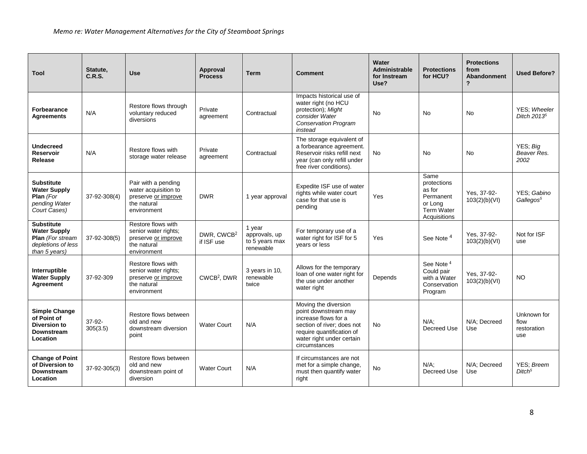| Tool                                                                                                       | Statute,<br>C.R.S. | <b>Use</b>                                                                                       | Approval<br><b>Process</b>           | Term                                                   | <b>Comment</b>                                                                                                                                                                | Water<br>Administrable<br>for Instream<br>Use? | <b>Protections</b><br>for HCU?                                                             | <b>Protections</b><br>from<br><b>Abandonment</b><br>? | <b>Used Before?</b>                       |
|------------------------------------------------------------------------------------------------------------|--------------------|--------------------------------------------------------------------------------------------------|--------------------------------------|--------------------------------------------------------|-------------------------------------------------------------------------------------------------------------------------------------------------------------------------------|------------------------------------------------|--------------------------------------------------------------------------------------------|-------------------------------------------------------|-------------------------------------------|
| <b>Forbearance</b><br><b>Agreements</b>                                                                    | N/A                | Restore flows through<br>voluntary reduced<br>diversions                                         | Private<br>agreement                 | Contractual                                            | Impacts historical use of<br>water right (no HCU<br>protection); Might<br>consider Water<br><b>Conservation Program</b><br>instead                                            | <b>No</b>                                      | <b>No</b>                                                                                  | <b>No</b>                                             | YES: Wheeler<br>Ditch 2013 <sup>5</sup>   |
| Undecreed<br><b>Reservoir</b><br>Release                                                                   | N/A                | Restore flows with<br>storage water release                                                      | Private<br>agreement                 | Contractual                                            | The storage equivalent of<br>a forbearance agreement.<br>Reservoir risks refill next<br>year (can only refill under<br>free river conditions).                                | No                                             | No                                                                                         | No                                                    | YES; Big<br>Beaver Res.<br>2002           |
| <b>Substitute</b><br><b>Water Supply</b><br>Plan (For<br>pending Water<br>Court Cases)                     | 37-92-308(4)       | Pair with a pending<br>water acquisition to<br>preserve or improve<br>the natural<br>environment | <b>DWR</b>                           | 1 year approval                                        | Expedite ISF use of water<br>rights while water court<br>case for that use is<br>pending                                                                                      | Yes                                            | Same<br>protections<br>as for<br>Permanent<br>or Long<br><b>Term Water</b><br>Acquisitions | Yes. 37-92-<br>103(2)(b)(V)                           | YES: Gabino<br>Gallegos <sup>5</sup>      |
| <b>Substitute</b><br><b>Water Supply</b><br><b>Plan</b> (For stream<br>depletions of less<br>than 5 years) | 37-92-308(5)       | Restore flows with<br>senior water rights;<br>preserve or improve<br>the natural<br>environment  | DWR, CWCB <sup>2</sup><br>if ISF use | 1 year<br>approvals, up<br>to 5 years max<br>renewable | For temporary use of a<br>water right for ISF for 5<br>years or less                                                                                                          | Yes                                            | See Note <sup>4</sup>                                                                      | Yes, 37-92-<br>103(2)(b)(V)                           | Not for ISF<br>use                        |
| Interruptible<br><b>Water Supply</b><br>Agreement                                                          | 37-92-309          | Restore flows with<br>senior water rights;<br>preserve or improve<br>the natural<br>environment  | CWCB <sup>2</sup> , DWR              | 3 years in 10,<br>renewable<br>twice                   | Allows for the temporary<br>loan of one water right for<br>the use under another<br>water right                                                                               | Depends                                        | See Note <sup>4</sup><br>Could pair<br>with a Water<br>Conservation<br>Program             | Yes. 37-92-<br>103(2)(b)(V1)                          | <b>NO</b>                                 |
| <b>Simple Change</b><br>of Point of<br>Diversion to<br><b>Downstream</b><br>Location                       | 37-92-<br>305(3.5) | Restore flows between<br>old and new<br>downstream diversion<br>point                            | <b>Water Court</b>                   | N/A                                                    | Moving the diversion<br>point downstream may<br>increase flows for a<br>section of river; does not<br>require quantification of<br>water right under certain<br>circumstances | No                                             | $N/A$ ;<br>Decreed Use                                                                     | N/A; Decreed<br>Use                                   | Unknown for<br>flow<br>restoration<br>use |
| <b>Change of Point</b><br>of Diversion to<br>Downstream<br>Location                                        | 37-92-305(3)       | Restore flows between<br>old and new<br>downstream point of<br>diversion                         | <b>Water Court</b>                   | N/A                                                    | If circumstances are not<br>met for a simple change,<br>must then quantify water<br>right                                                                                     | <b>No</b>                                      | $N/A$ :<br>Decreed Use                                                                     | N/A: Decreed<br>Use                                   | <b>YES: Breem</b><br>Ditch <sup>5</sup>   |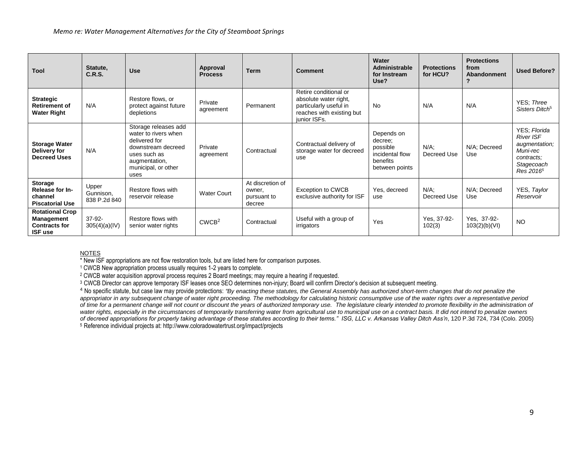| <b>Tool</b>                                                                           | Statute,<br>C.R.S.                 | <b>Use</b>                                                                                                                                          | Approval<br><b>Process</b> | <b>Term</b>                                         | <b>Comment</b>                                                                                                        | Water<br>Administrable<br>for Instream<br>Use?                                     | <b>Protections</b><br>for HCU? | <b>Protections</b><br>from<br>Abandonment | <b>Used Before?</b>                                                                                                |
|---------------------------------------------------------------------------------------|------------------------------------|-----------------------------------------------------------------------------------------------------------------------------------------------------|----------------------------|-----------------------------------------------------|-----------------------------------------------------------------------------------------------------------------------|------------------------------------------------------------------------------------|--------------------------------|-------------------------------------------|--------------------------------------------------------------------------------------------------------------------|
| <b>Strategic</b><br><b>Retirement of</b><br><b>Water Right</b>                        | N/A                                | Restore flows, or<br>protect against future<br>depletions                                                                                           | Private<br>agreement       | Permanent                                           | Retire conditional or<br>absolute water right,<br>particularly useful in<br>reaches with existing but<br>junior ISFs. | No                                                                                 | N/A                            | N/A                                       | YES: Three<br>Sisters Ditch <sup>5</sup>                                                                           |
| <b>Storage Water</b><br>Delivery for<br><b>Decreed Uses</b>                           | N/A                                | Storage releases add<br>water to rivers when<br>delivered for<br>downstream decreed<br>uses such as<br>augmentation,<br>municipal, or other<br>uses | Private<br>agreement       | Contractual                                         | Contractual delivery of<br>storage water for decreed<br>use                                                           | Depends on<br>decree;<br>possible<br>incidental flow<br>benefits<br>between points | $N/A$ :<br>Decreed Use         | N/A; Decreed<br>Use                       | YES; Florida<br><b>River ISF</b><br>augmentation;<br>Muni-rec<br>contracts:<br>Stagecoach<br>Res 2016 <sup>5</sup> |
| Storage<br>Release for In-<br>channel<br><b>Piscatorial Use</b>                       | Upper<br>Gunnison,<br>838 P.2d 840 | Restore flows with<br>reservoir release                                                                                                             | <b>Water Court</b>         | At discretion of<br>owner.<br>pursuant to<br>decree | <b>Exception to CWCB</b><br>exclusive authority for ISF                                                               | Yes, decreed<br>use                                                                | $N/A$ ;<br>Decreed Use         | N/A; Decreed<br>Use                       | YES, Taylor<br>Reservoir                                                                                           |
| <b>Rotational Crop</b><br><b>Management</b><br><b>Contracts for</b><br><b>ISF use</b> | $37-92-$<br>305(4)(a)(IV)          | Restore flows with<br>senior water rights                                                                                                           | CWCB <sup>2</sup>          | Contractual                                         | Useful with a group of<br>irrigators                                                                                  | Yes                                                                                | Yes, 37-92-<br>102(3)          | Yes, 37-92-<br>103(2)(b)(V)               | <b>NO</b>                                                                                                          |

NOTES

\* New ISF appropriations are not flow restoration tools, but are listed here for comparison purposes.

<sup>1</sup> CWCB New appropriation process usually requires 1-2 years to complete.

<sup>2</sup> CWCB water acquisition approval process requires 2 Board meetings; may require a hearing if requested.

<sup>3</sup> CWCB Director can approve temporary ISF leases once SEO determines non-injury; Board will confirm Director's decision at subsequent meeting.

<sup>4</sup> No specific statute, but case law may provide protections: *"By enacting these statutes, the General Assembly has authorized short-term changes that do not penalize the appropriator in any subsequent change of water right proceeding. The methodology for calculating historic consumptive use of the water rights over a representative period of time for a permanent change will not count or discount the years of authorized temporary use. The legislature clearly intended to promote flexibility in the administration of*  water rights, especially in the circumstances of temporarily transferring water from agricultural use to municipal use on a contract basis. It did not intend to penalize owners *of decreed appropriations for properly taking advantage of these statutes according to their terms." ISG, LLC v. Arkansas Valley Ditch Ass'n*, 120 P.3d 724, 734 (Colo. 2005) <sup>5</sup> Reference individual projects at: http://www.coloradowatertrust.org/impact/projects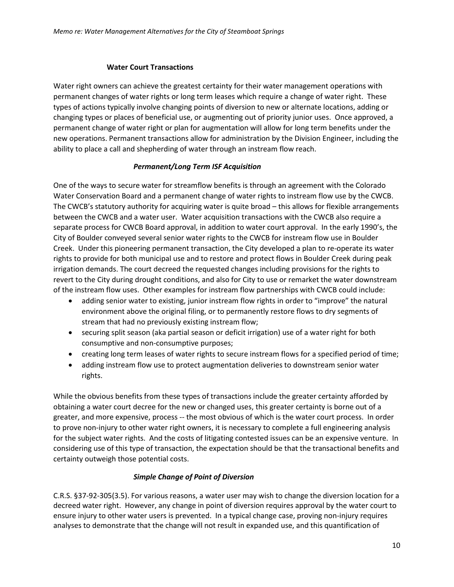#### **Water Court Transactions**

Water right owners can achieve the greatest certainty for their water management operations with permanent changes of water rights or long term leases which require a change of water right. These types of actions typically involve changing points of diversion to new or alternate locations, adding or changing types or places of beneficial use, or augmenting out of priority junior uses. Once approved, a permanent change of water right or plan for augmentation will allow for long term benefits under the new operations. Permanent transactions allow for administration by the Division Engineer, including the ability to place a call and shepherding of water through an instream flow reach.

### *Permanent/Long Term ISF Acquisition*

One of the ways to secure water for streamflow benefits is through an agreement with the Colorado Water Conservation Board and a permanent change of water rights to instream flow use by the CWCB. The CWCB's statutory authority for acquiring water is quite broad – this allows for flexible arrangements between the CWCB and a water user. Water acquisition transactions with the CWCB also require a separate process for CWCB Board approval, in addition to water court approval. In the early 1990's, the City of Boulder conveyed several senior water rights to the CWCB for instream flow use in Boulder Creek. Under this pioneering permanent transaction, the City developed a plan to re-operate its water rights to provide for both municipal use and to restore and protect flows in Boulder Creek during peak irrigation demands. The court decreed the requested changes including provisions for the rights to revert to the City during drought conditions, and also for City to use or remarket the water downstream of the instream flow uses. Other examples for instream flow partnerships with CWCB could include:

- adding senior water to existing, junior instream flow rights in order to "improve" the natural environment above the original filing, or to permanently restore flows to dry segments of stream that had no previously existing instream flow;
- securing split season (aka partial season or deficit irrigation) use of a water right for both consumptive and non-consumptive purposes;
- creating long term leases of water rights to secure instream flows for a specified period of time;
- adding instream flow use to protect augmentation deliveries to downstream senior water rights.

While the obvious benefits from these types of transactions include the greater certainty afforded by obtaining a water court decree for the new or changed uses, this greater certainty is borne out of a greater, and more expensive, process -- the most obvious of which is the water court process. In order to prove non-injury to other water right owners, it is necessary to complete a full engineering analysis for the subject water rights. And the costs of litigating contested issues can be an expensive venture. In considering use of this type of transaction, the expectation should be that the transactional benefits and certainty outweigh those potential costs.

### *Simple Change of Point of Diversion*

C.R.S. §37-92-305(3.5). For various reasons, a water user may wish to change the diversion location for a decreed water right. However, any change in point of diversion requires approval by the water court to ensure injury to other water users is prevented. In a typical change case, proving non-injury requires analyses to demonstrate that the change will not result in expanded use, and this quantification of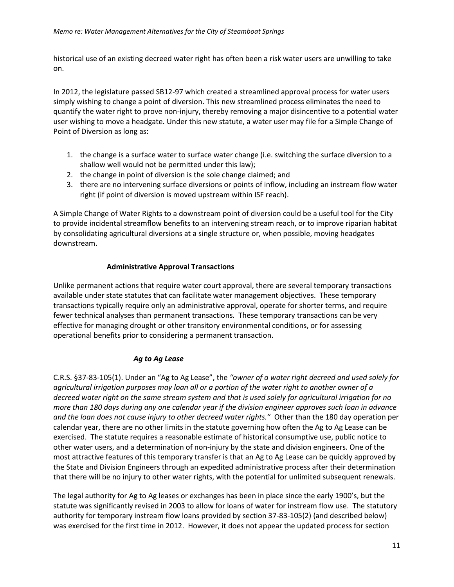historical use of an existing decreed water right has often been a risk water users are unwilling to take on.

In 2012, the legislature passed SB12-97 which created a streamlined approval process for water users simply wishing to change a point of diversion. This new streamlined process eliminates the need to quantify the water right to prove non-injury, thereby removing a major disincentive to a potential water user wishing to move a headgate. Under this new statute, a water user may file for a Simple Change of Point of Diversion as long as:

- 1. the change is a surface water to surface water change (i.e. switching the surface diversion to a shallow well would not be permitted under this law);
- 2. the change in point of diversion is the sole change claimed; and
- 3. there are no intervening surface diversions or points of inflow, including an instream flow water right (if point of diversion is moved upstream within ISF reach).

A Simple Change of Water Rights to a downstream point of diversion could be a useful tool for the City to provide incidental streamflow benefits to an intervening stream reach, or to improve riparian habitat by consolidating agricultural diversions at a single structure or, when possible, moving headgates downstream.

#### **Administrative Approval Transactions**

Unlike permanent actions that require water court approval, there are several temporary transactions available under state statutes that can facilitate water management objectives. These temporary transactions typically require only an administrative approval, operate for shorter terms, and require fewer technical analyses than permanent transactions. These temporary transactions can be very effective for managing drought or other transitory environmental conditions, or for assessing operational benefits prior to considering a permanent transaction.

#### *Ag to Ag Lease*

C.R.S. §37-83-105(1). Under an "Ag to Ag Lease", the *"owner of a water right decreed and used solely for agricultural irrigation purposes may loan all or a portion of the water right to another owner of a decreed water right on the same stream system and that is used solely for agricultural irrigation for no more than 180 days during any one calendar year if the division engineer approves such loan in advance and the loan does not cause injury to other decreed water rights."* Other than the 180 day operation per calendar year, there are no other limits in the statute governing how often the Ag to Ag Lease can be exercised. The statute requires a reasonable estimate of historical consumptive use, public notice to other water users, and a determination of non-injury by the state and division engineers. One of the most attractive features of this temporary transfer is that an Ag to Ag Lease can be quickly approved by the State and Division Engineers through an expedited administrative process after their determination that there will be no injury to other water rights, with the potential for unlimited subsequent renewals.

The legal authority for Ag to Ag leases or exchanges has been in place since the early 1900's, but the statute was significantly revised in 2003 to allow for loans of water for instream flow use. The statutory authority for temporary instream flow loans provided by section 37-83-105(2) (and described below) was exercised for the first time in 2012. However, it does not appear the updated process for section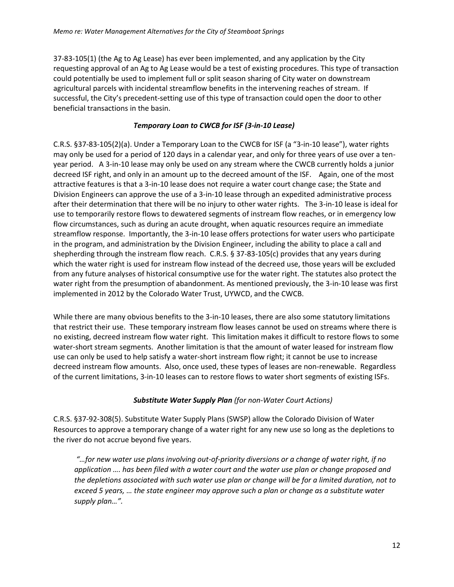37-83-105(1) (the Ag to Ag Lease) has ever been implemented, and any application by the City requesting approval of an Ag to Ag Lease would be a test of existing procedures. This type of transaction could potentially be used to implement full or split season sharing of City water on downstream agricultural parcels with incidental streamflow benefits in the intervening reaches of stream. If successful, the City's precedent-setting use of this type of transaction could open the door to other beneficial transactions in the basin.

#### *Temporary Loan to CWCB for ISF (3-in-10 Lease)*

C.R.S. §37-83-105(2)(a). Under a Temporary Loan to the CWCB for ISF (a "3-in-10 lease"), water rights may only be used for a period of 120 days in a calendar year, and only for three years of use over a tenyear period. A 3-in-10 lease may only be used on any stream where the CWCB currently holds a junior decreed ISF right, and only in an amount up to the decreed amount of the ISF. Again, one of the most attractive features is that a 3-in-10 lease does not require a water court change case; the State and Division Engineers can approve the use of a 3-in-10 lease through an expedited administrative process after their determination that there will be no injury to other water rights. The 3-in-10 lease is ideal for use to temporarily restore flows to dewatered segments of instream flow reaches, or in emergency low flow circumstances, such as during an acute drought, when aquatic resources require an immediate streamflow response. Importantly, the 3-in-10 lease offers protections for water users who participate in the program, and administration by the Division Engineer, including the ability to place a call and shepherding through the instream flow reach. C.R.S. § 37-83-105(c) provides that any years during which the water right is used for instream flow instead of the decreed use, those years will be excluded from any future analyses of historical consumptive use for the water right. The statutes also protect the water right from the presumption of abandonment. As mentioned previously, the 3-in-10 lease was first implemented in 2012 by the Colorado Water Trust, UYWCD, and the CWCB.

While there are many obvious benefits to the 3-in-10 leases, there are also some statutory limitations that restrict their use. These temporary instream flow leases cannot be used on streams where there is no existing, decreed instream flow water right. This limitation makes it difficult to restore flows to some water-short stream segments. Another limitation is that the amount of water leased for instream flow use can only be used to help satisfy a water-short instream flow right; it cannot be use to increase decreed instream flow amounts. Also, once used, these types of leases are non-renewable. Regardless of the current limitations, 3-in-10 leases can to restore flows to water short segments of existing ISFs.

#### *Substitute Water Supply Plan (for non-Water Court Actions)*

C.R.S. §37-92-308(5). Substitute Water Supply Plans (SWSP) allow the Colorado Division of Water Resources to approve a temporary change of a water right for any new use so long as the depletions to the river do not accrue beyond five years.

*"…for new water use plans involving out-of-priority diversions or a change of water right, if no application …. has been filed with a water court and the water use plan or change proposed and the depletions associated with such water use plan or change will be for a limited duration, not to exceed 5 years, … the state engineer may approve such a plan or change as a substitute water supply plan…".*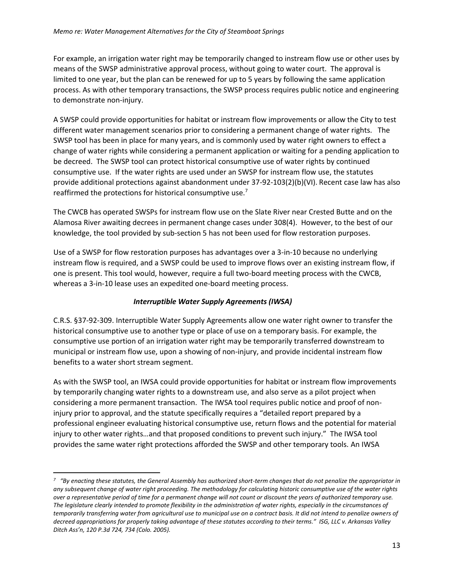For example, an irrigation water right may be temporarily changed to instream flow use or other uses by means of the SWSP administrative approval process, without going to water court. The approval is limited to one year, but the plan can be renewed for up to 5 years by following the same application process. As with other temporary transactions, the SWSP process requires public notice and engineering to demonstrate non-injury.

A SWSP could provide opportunities for habitat or instream flow improvements or allow the City to test different water management scenarios prior to considering a permanent change of water rights. The SWSP tool has been in place for many years, and is commonly used by water right owners to effect a change of water rights while considering a permanent application or waiting for a pending application to be decreed. The SWSP tool can protect historical consumptive use of water rights by continued consumptive use. If the water rights are used under an SWSP for instream flow use, the statutes provide additional protections against abandonment under 37-92-103(2)(b)(VI). Recent case law has also reaffirmed the protections for historical consumptive use.<sup>7</sup>

The CWCB has operated SWSPs for instream flow use on the Slate River near Crested Butte and on the Alamosa River awaiting decrees in permanent change cases under 308(4). However, to the best of our knowledge, the tool provided by sub-section 5 has not been used for flow restoration purposes.

Use of a SWSP for flow restoration purposes has advantages over a 3-in-10 because no underlying instream flow is required, and a SWSP could be used to improve flows over an existing instream flow, if one is present. This tool would, however, require a full two-board meeting process with the CWCB, whereas a 3-in-10 lease uses an expedited one-board meeting process.

### *Interruptible Water Supply Agreements (IWSA)*

C.R.S. §37-92-309. Interruptible Water Supply Agreements allow one water right owner to transfer the historical consumptive use to another type or place of use on a temporary basis. For example, the consumptive use portion of an irrigation water right may be temporarily transferred downstream to municipal or instream flow use, upon a showing of non-injury, and provide incidental instream flow benefits to a water short stream segment.

As with the SWSP tool, an IWSA could provide opportunities for habitat or instream flow improvements by temporarily changing water rights to a downstream use, and also serve as a pilot project when considering a more permanent transaction. The IWSA tool requires public notice and proof of noninjury prior to approval, and the statute specifically requires a "detailed report prepared by a professional engineer evaluating historical consumptive use, return flows and the potential for material injury to other water rights…and that proposed conditions to prevent such injury." The IWSA tool provides the same water right protections afforded the SWSP and other temporary tools. An IWSA

 $\overline{\phantom{a}}$ 

*<sup>7</sup> "By enacting these statutes, the General Assembly has authorized short-term changes that do not penalize the appropriator in any subsequent change of water right proceeding. The methodology for calculating historic consumptive use of the water rights over a representative period of time for a permanent change will not count or discount the years of authorized temporary use. The legislature clearly intended to promote flexibility in the administration of water rights, especially in the circumstances of temporarily transferring water from agricultural use to municipal use on a contract basis. It did not intend to penalize owners of*  decreed appropriations for properly taking advantage of these statutes according to their terms." ISG, LLC v. Arkansas Valley *Ditch Ass'n, 120 P.3d 724, 734 (Colo. 2005).*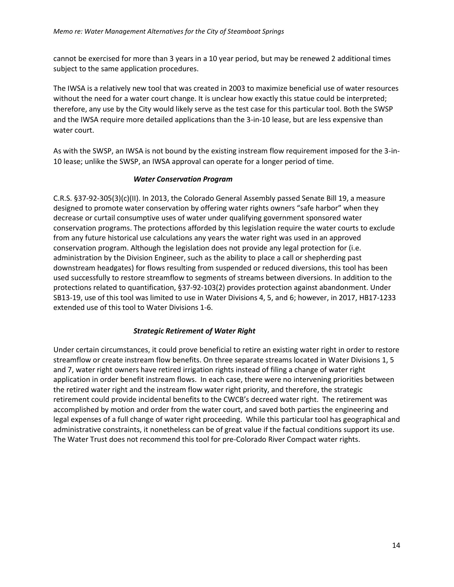cannot be exercised for more than 3 years in a 10 year period, but may be renewed 2 additional times subject to the same application procedures.

The IWSA is a relatively new tool that was created in 2003 to maximize beneficial use of water resources without the need for a water court change. It is unclear how exactly this statue could be interpreted; therefore, any use by the City would likely serve as the test case for this particular tool. Both the SWSP and the IWSA require more detailed applications than the 3-in-10 lease, but are less expensive than water court.

As with the SWSP, an IWSA is not bound by the existing instream flow requirement imposed for the 3-in-10 lease; unlike the SWSP, an IWSA approval can operate for a longer period of time.

#### *Water Conservation Program*

C.R.S. §37-92-305(3)(c)(II). In 2013, the Colorado General Assembly passed Senate Bill 19, a measure designed to promote water conservation by offering water rights owners "safe harbor" when they decrease or curtail consumptive uses of water under qualifying government sponsored water conservation programs. The protections afforded by this legislation require the water courts to exclude from any future historical use calculations any years the water right was used in an approved conservation program. Although the legislation does not provide any legal protection for (i.e. administration by the Division Engineer, such as the ability to place a call or shepherding past downstream headgates) for flows resulting from suspended or reduced diversions, this tool has been used successfully to restore streamflow to segments of streams between diversions. In addition to the protections related to quantification, §37-92-103(2) provides protection against abandonment. Under SB13‐19, use of this tool was limited to use in Water Divisions 4, 5, and 6; however, in 2017, HB17‐1233 extended use of this tool to Water Divisions 1-6.

#### *Strategic Retirement of Water Right*

Under certain circumstances, it could prove beneficial to retire an existing water right in order to restore streamflow or create instream flow benefits. On three separate streams located in Water Divisions 1, 5 and 7, water right owners have retired irrigation rights instead of filing a change of water right application in order benefit instream flows. In each case, there were no intervening priorities between the retired water right and the instream flow water right priority, and therefore, the strategic retirement could provide incidental benefits to the CWCB's decreed water right. The retirement was accomplished by motion and order from the water court, and saved both parties the engineering and legal expenses of a full change of water right proceeding. While this particular tool has geographical and administrative constraints, it nonetheless can be of great value if the factual conditions support its use. The Water Trust does not recommend this tool for pre-Colorado River Compact water rights.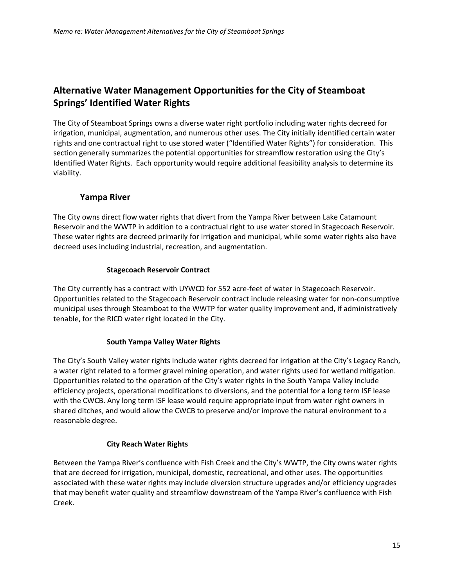# **Alternative Water Management Opportunities for the City of Steamboat Springs' Identified Water Rights**

The City of Steamboat Springs owns a diverse water right portfolio including water rights decreed for irrigation, municipal, augmentation, and numerous other uses. The City initially identified certain water rights and one contractual right to use stored water ("Identified Water Rights") for consideration. This section generally summarizes the potential opportunities for streamflow restoration using the City's Identified Water Rights. Each opportunity would require additional feasibility analysis to determine its viability.

### **Yampa River**

The City owns direct flow water rights that divert from the Yampa River between Lake Catamount Reservoir and the WWTP in addition to a contractual right to use water stored in Stagecoach Reservoir. These water rights are decreed primarily for irrigation and municipal, while some water rights also have decreed uses including industrial, recreation, and augmentation.

#### **Stagecoach Reservoir Contract**

The City currently has a contract with UYWCD for 552 acre-feet of water in Stagecoach Reservoir. Opportunities related to the Stagecoach Reservoir contract include releasing water for non-consumptive municipal uses through Steamboat to the WWTP for water quality improvement and, if administratively tenable, for the RICD water right located in the City.

### **South Yampa Valley Water Rights**

The City's South Valley water rights include water rights decreed for irrigation at the City's Legacy Ranch, a water right related to a former gravel mining operation, and water rights used for wetland mitigation. Opportunities related to the operation of the City's water rights in the South Yampa Valley include efficiency projects, operational modifications to diversions, and the potential for a long term ISF lease with the CWCB. Any long term ISF lease would require appropriate input from water right owners in shared ditches, and would allow the CWCB to preserve and/or improve the natural environment to a reasonable degree.

#### **City Reach Water Rights**

Between the Yampa River's confluence with Fish Creek and the City's WWTP, the City owns water rights that are decreed for irrigation, municipal, domestic, recreational, and other uses. The opportunities associated with these water rights may include diversion structure upgrades and/or efficiency upgrades that may benefit water quality and streamflow downstream of the Yampa River's confluence with Fish Creek.